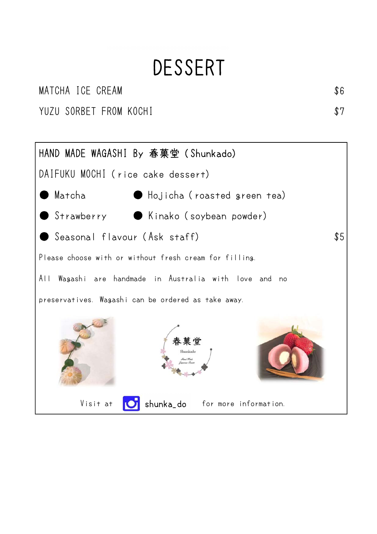## DESSERT

#### MATCHA ICE CREAM  $$6$

YUZU SORBET FROM KOCHI **\$7** 

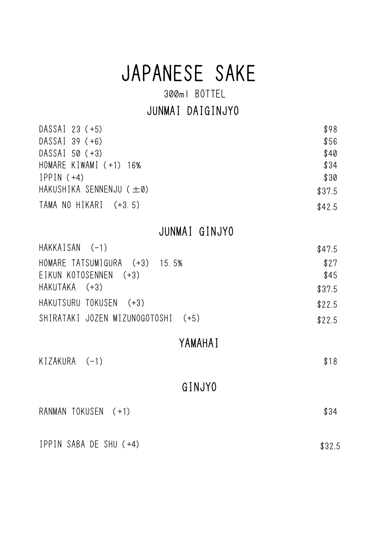## JAPANESE SAKE

300ml BOTTEL

#### JUNMAI DAIGINJYO

| DASSAI 23 (+5)           | \$98   |
|--------------------------|--------|
| $DASSAI$ 39 (+6)         | \$56   |
| DASSAI 50 (+3)           | \$40   |
| HOMARE KIWAMI $(+1)$ 16% | \$34   |
| $IPPIN (+4)$             | \$30   |
| HAKUSHIKA SENNENJU (±0)  | \$37.5 |
| TAMA NO HIKARI $(+3, 5)$ | \$42.5 |

JUNMAI GINJYO

| $HAKKAISAN$ $(-1)$                 | \$47.5 |
|------------------------------------|--------|
| HOMARE TATSUMIGURA (+3) 15.5%      | \$27   |
| EIKUN KOTOSENNEN (+3)              | \$45   |
| HAKUTAKA (+3)                      | \$37.5 |
| HAKUTSURU TOKUSEN (+3)             | \$22.5 |
| SHIRATAKI JOZEN MIZUNOGOTOSHI (+5) | \$22.5 |

#### YAMAHAI

 $KIZAKURA$   $(-1)$  \$18 RANMAN TOKUSEN (+1) \$34 GINJYO

IPPIN SABA DE SHU (+4) \$32.5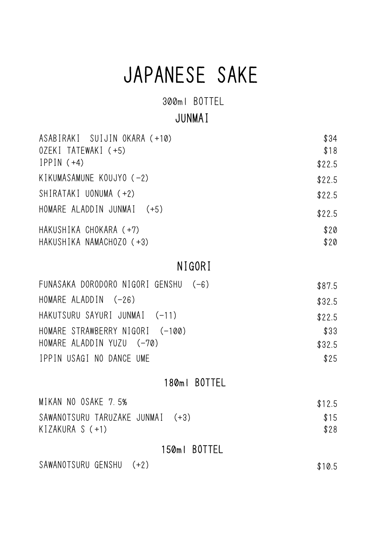# JAPANESE SAKE

300ml BOTTEL

#### JUNMAI

| ASABIRAKI SUIJIN OKARA (+10) | \$34   |
|------------------------------|--------|
| OZEKI TATEWAKI (+5)          | \$18   |
| $IPPIN (+4)$                 | \$22.5 |
| KIKUMASAMUNE KOUJYO $(-2)$   | \$22.5 |
| SHIRATAKI UONUMA (+2)        | \$22.5 |
| HOMARE ALADDIN JUNMAI (+5)   | \$22.5 |
| HAKUSHIKA CHOKARA (+7)       | \$20   |
| HAKUSHIKA NAMACHOZO (+3)     | \$20   |

#### NIGORI

| FUNASAKA DORODORO NIGORI GENSHU (-6) | \$87.5 |
|--------------------------------------|--------|
| HOMARE ALADDIN $(-26)$               | \$32.5 |
| HAKUTSURU SAYURI JUNMAI (-11)        | \$22.5 |
| HOMARE STRAWBERRY NIGORI (-100)      | \$33   |
| HOMARE ALADDIN YUZU (-70)            | \$32.5 |
| IPPIN USAGI NO DANCE UME             | \$25   |

#### 180ml BOTTEL

| MIKAN NO OSAKE 7.5%              | \$12.5 |
|----------------------------------|--------|
| SAWANOTSURU TARUZAKE JUNMAI (+3) | \$15   |
| KIZAKURA S $(+1)$                | \$28   |

#### 150ml BOTTEL

SAWANOTSURU GENSHU (+2) \$10.5